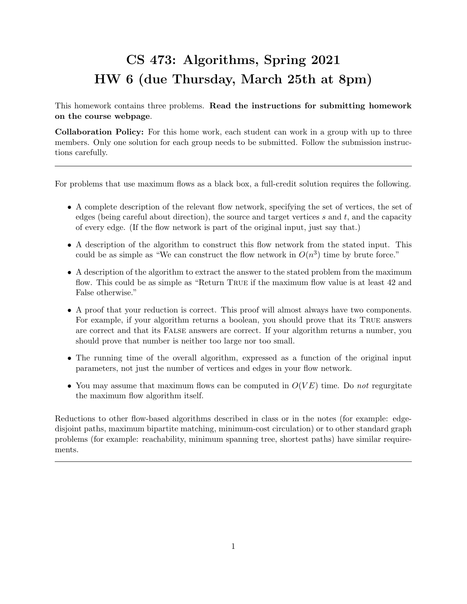## CS 473: Algorithms, Spring 2021 HW 6 (due Thursday, March 25th at 8pm)

This homework contains three problems. Read the instructions for submitting homework on the course webpage.

Collaboration Policy: For this home work, each student can work in a group with up to three members. Only one solution for each group needs to be submitted. Follow the submission instructions carefully.

For problems that use maximum flows as a black box, a full-credit solution requires the following.

- A complete description of the relevant flow network, specifying the set of vertices, the set of edges (being careful about direction), the source and target vertices s and t, and the capacity of every edge. (If the flow network is part of the original input, just say that.)
- A description of the algorithm to construct this flow network from the stated input. This could be as simple as "We can construct the flow network in  $O(n^3)$  time by brute force."
- A description of the algorithm to extract the answer to the stated problem from the maximum flow. This could be as simple as "Return True if the maximum flow value is at least 42 and False otherwise."
- A proof that your reduction is correct. This proof will almost always have two components. For example, if your algorithm returns a boolean, you should prove that its True answers are correct and that its False answers are correct. If your algorithm returns a number, you should prove that number is neither too large nor too small.
- The running time of the overall algorithm, expressed as a function of the original input parameters, not just the number of vertices and edges in your flow network.
- You may assume that maximum flows can be computed in  $O(VE)$  time. Do not regurgitate the maximum flow algorithm itself.

Reductions to other flow-based algorithms described in class or in the notes (for example: edgedisjoint paths, maximum bipartite matching, minimum-cost circulation) or to other standard graph problems (for example: reachability, minimum spanning tree, shortest paths) have similar requirements.